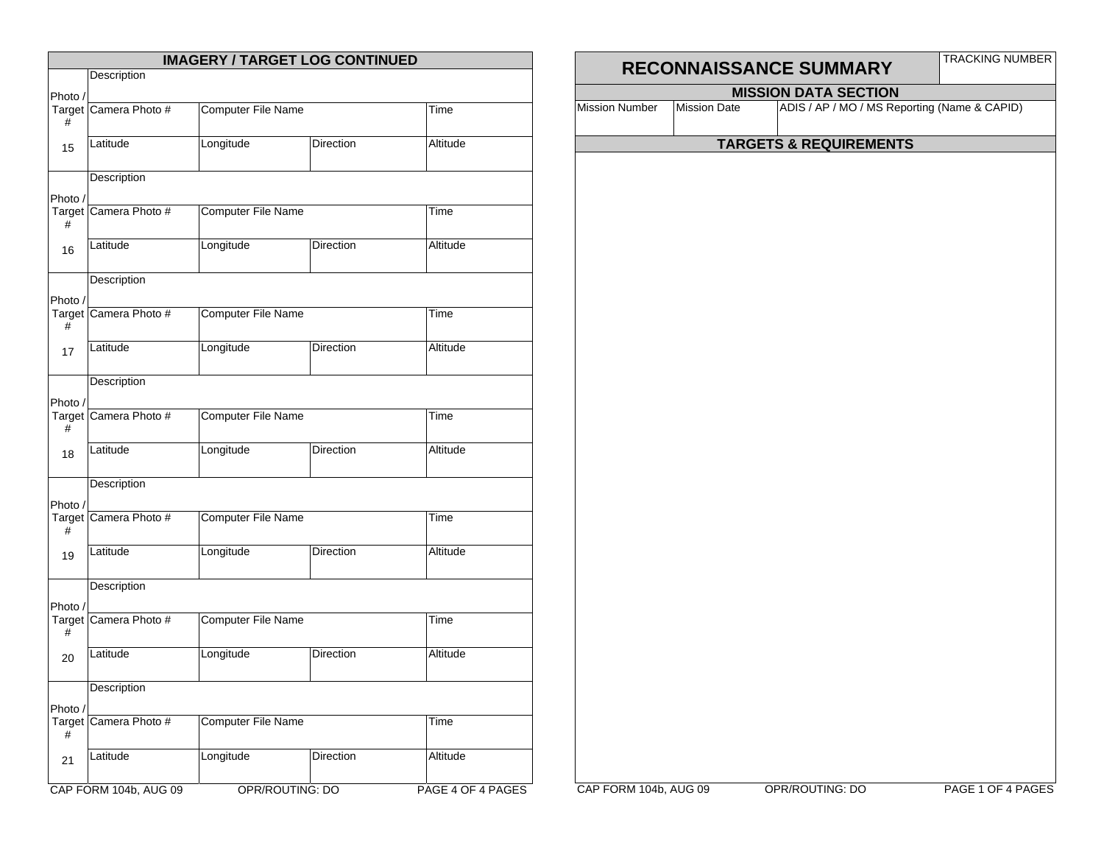|             |                       |                           | <b>IMAGERY / TARGET LOG CONTINUED</b> |                   |  |
|-------------|-----------------------|---------------------------|---------------------------------------|-------------------|--|
|             | Description           |                           |                                       |                   |  |
| Photo /     |                       |                           |                                       |                   |  |
| #           | Target Camera Photo # | <b>Computer File Name</b> |                                       | Time              |  |
| 15          | Latitude              | Longitude                 | Direction                             | Altitude          |  |
|             | Description           |                           |                                       |                   |  |
| Photo /     |                       |                           |                                       |                   |  |
| #           | Target Camera Photo # | <b>Computer File Name</b> |                                       | Time              |  |
| 16          | Latitude              | Longitude                 | Direction                             | Altitude          |  |
|             | Description           |                           |                                       |                   |  |
| Photo /     | Target Camera Photo # | <b>Computer File Name</b> |                                       | Time              |  |
| #           |                       |                           |                                       |                   |  |
| 17          | Latitude              | Longitude                 | Direction                             | Altitude          |  |
|             | Description           |                           |                                       |                   |  |
| Photo /     |                       |                           |                                       |                   |  |
| #           | Target Camera Photo # | <b>Computer File Name</b> |                                       | Time              |  |
| 18          | Latitude              | Longitude                 | Direction                             | Altitude          |  |
| Photo /     | Description           |                           |                                       |                   |  |
| #           | Target Camera Photo # | <b>Computer File Name</b> |                                       | Time              |  |
| 19          | Latitude              | Longitude                 | Direction                             | Altitude          |  |
|             | Description           |                           |                                       |                   |  |
| Photo /     |                       |                           |                                       |                   |  |
| #           | Target Camera Photo # | <b>Computer File Name</b> |                                       | Time              |  |
| 20          | Latitude              | Longitude                 | Direction                             | Altitude          |  |
|             | Description           |                           |                                       |                   |  |
| Photo /     |                       |                           |                                       |                   |  |
| Target<br># | Camera Photo #        | <b>Computer File Name</b> |                                       | Time              |  |
| 21          | Latitude              | Longitude                 | Direction                             | Altitude          |  |
|             | CAP FORM 104b, AUG 09 |                           | OPR/ROUTING: DO                       | PAGE 4 OF 4 PAGES |  |

|                       |                     |                                                                             | <b>TRACKING NUMBER</b> |
|-----------------------|---------------------|-----------------------------------------------------------------------------|------------------------|
|                       |                     | RECONNAISSANCE SUMMARY                                                      |                        |
| <b>Mission Number</b> | <b>Mission Date</b> | <b>MISSION DATA SECTION</b><br>ADIS / AP / MO / MS Reporting (Name & CAPID) |                        |
|                       |                     |                                                                             |                        |
|                       |                     | <b>TARGETS &amp; REQUIREMENTS</b>                                           |                        |
|                       |                     |                                                                             |                        |
|                       |                     |                                                                             |                        |
|                       |                     |                                                                             |                        |
|                       |                     |                                                                             |                        |
|                       |                     |                                                                             |                        |
|                       |                     |                                                                             |                        |
|                       |                     |                                                                             |                        |
|                       |                     |                                                                             |                        |
|                       |                     |                                                                             |                        |
|                       |                     |                                                                             |                        |
|                       |                     |                                                                             |                        |
|                       |                     |                                                                             |                        |
|                       |                     |                                                                             |                        |
|                       |                     |                                                                             |                        |
|                       |                     |                                                                             |                        |
|                       |                     |                                                                             |                        |
|                       |                     |                                                                             |                        |
|                       |                     |                                                                             |                        |
|                       |                     |                                                                             |                        |
|                       |                     |                                                                             |                        |
|                       |                     |                                                                             |                        |
|                       |                     |                                                                             |                        |
|                       |                     |                                                                             |                        |
|                       |                     |                                                                             |                        |
|                       |                     |                                                                             |                        |
|                       |                     |                                                                             |                        |
|                       |                     |                                                                             |                        |
|                       |                     |                                                                             |                        |
|                       |                     |                                                                             |                        |

CAP FORM 104b, AUG 09 OPR/ROUTING: DO PAGE 1 OF 4 PAGES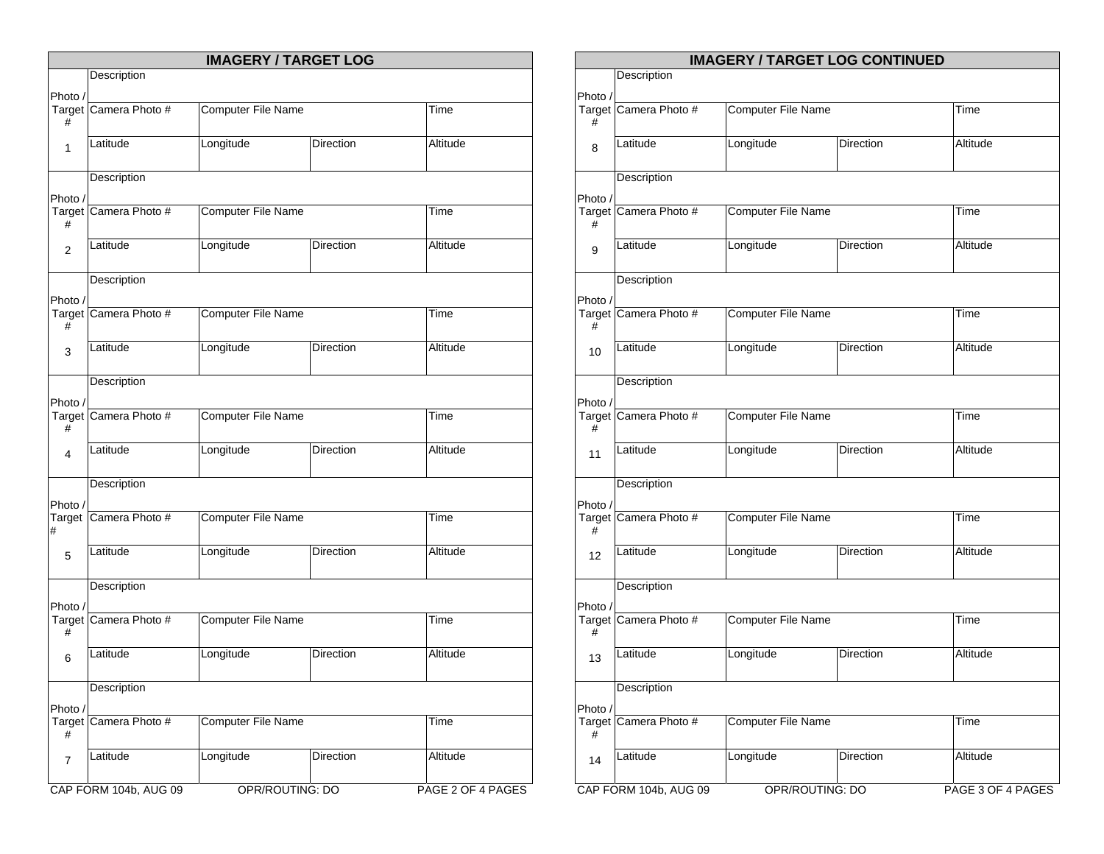|                |                       |                           | <b>IMAGERY / TARGET LOG</b> |                   |  |
|----------------|-----------------------|---------------------------|-----------------------------|-------------------|--|
|                | Description           |                           |                             |                   |  |
| Photo /        |                       |                           |                             |                   |  |
| #              | Target Camera Photo # | <b>Computer File Name</b> |                             | <b>Time</b>       |  |
| 1              | Latitude              | Longitude                 | <b>Direction</b>            | Altitude          |  |
|                | Description           |                           |                             |                   |  |
| Photo /        |                       |                           |                             |                   |  |
| #              | Target Camera Photo # | <b>Computer File Name</b> |                             | Time              |  |
| $\overline{2}$ | Latitude              | Longitude                 | <b>Direction</b>            | Altitude          |  |
|                | Description           |                           |                             |                   |  |
| Photo /        |                       |                           |                             |                   |  |
| #              | Target Camera Photo # | <b>Computer File Name</b> |                             | Time              |  |
| 3              | Latitude              | Longitude                 | Direction                   | Altitude          |  |
|                | Description           |                           |                             |                   |  |
| Photo /        |                       |                           |                             |                   |  |
| #              | Target Camera Photo # | Computer File Name        |                             | Time              |  |
| 4              | Latitude              | Longitude                 | <b>Direction</b>            | Altitude          |  |
| Photo /        | Description           |                           |                             |                   |  |
| #              | Target Camera Photo # | Computer File Name        |                             | Time              |  |
| 5              | Latitude              | Longitude                 | Direction                   | Altitude          |  |
|                | Description           |                           |                             |                   |  |
| Photo /        |                       |                           |                             |                   |  |
| #              | Target Camera Photo # | <b>Computer File Name</b> |                             | <b>Time</b>       |  |
| 6              | Latitude              | Longitude                 | Direction                   | Altitude          |  |
|                | Description           |                           |                             |                   |  |
| Photo /        |                       |                           |                             |                   |  |
| Target<br>#    | Camera Photo #        | Computer File Name        |                             | Time              |  |
| 7              | Latitude              | Longitude                 | Direction                   | Altitude          |  |
|                | CAP FORM 104b, AUG 09 |                           | OPR/ROUTING: DO             | PAGE 2 OF 4 PAGES |  |

|             |                       |                           | <b>IMAGERY / TARGET LOG CONTINUED</b> |                   |
|-------------|-----------------------|---------------------------|---------------------------------------|-------------------|
|             | Description           |                           |                                       |                   |
| Photo /     |                       |                           |                                       |                   |
| #           | Target Camera Photo # | <b>Computer File Name</b> |                                       | Time              |
| 8           | Latitude              | Longitude                 | Direction                             | Altitude          |
|             | Description           |                           |                                       |                   |
| Photo /     |                       |                           |                                       |                   |
| #           | Target Camera Photo # | <b>Computer File Name</b> |                                       | Time              |
| 9           | Latitude              | Longitude                 | Direction                             | Altitude          |
|             | Description           |                           |                                       |                   |
| Photo /     |                       |                           |                                       |                   |
| #           | Target Camera Photo # | Computer File Name        |                                       | Time              |
| 10          | Latitude              | Longitude                 | Direction                             | Altitude          |
|             | Description           |                           |                                       |                   |
| Photo /     |                       |                           |                                       |                   |
| Target<br># | Camera Photo #        | Computer File Name        |                                       | Time              |
| 11          | Latitude              | Longitude                 | Direction                             | Altitude          |
|             | Description           |                           |                                       |                   |
|             |                       |                           |                                       |                   |
| Photo /     | Target Camera Photo # | Computer File Name        |                                       | Time              |
| #           |                       |                           |                                       |                   |
| 12          | Latitude              | Longitude                 | Direction                             | Altitude          |
|             | Description           |                           |                                       |                   |
| Photo /     |                       |                           |                                       |                   |
| Target<br># | Camera Photo #        | <b>Computer File Name</b> |                                       | Time              |
| 13          | Latitude              | Longitude                 | Direction                             | Altitude          |
|             | Description           |                           |                                       |                   |
| Photo /     |                       |                           |                                       |                   |
| #           | Target Camera Photo # | Computer File Name        |                                       | Time              |
| 14          | Latitude              | Longitude                 | Direction                             | Altitude          |
|             | CAP FORM 104b, AUG 09 |                           | OPR/ROUTING: DO                       | PAGE 3 OF 4 PAGES |
|             |                       |                           |                                       |                   |